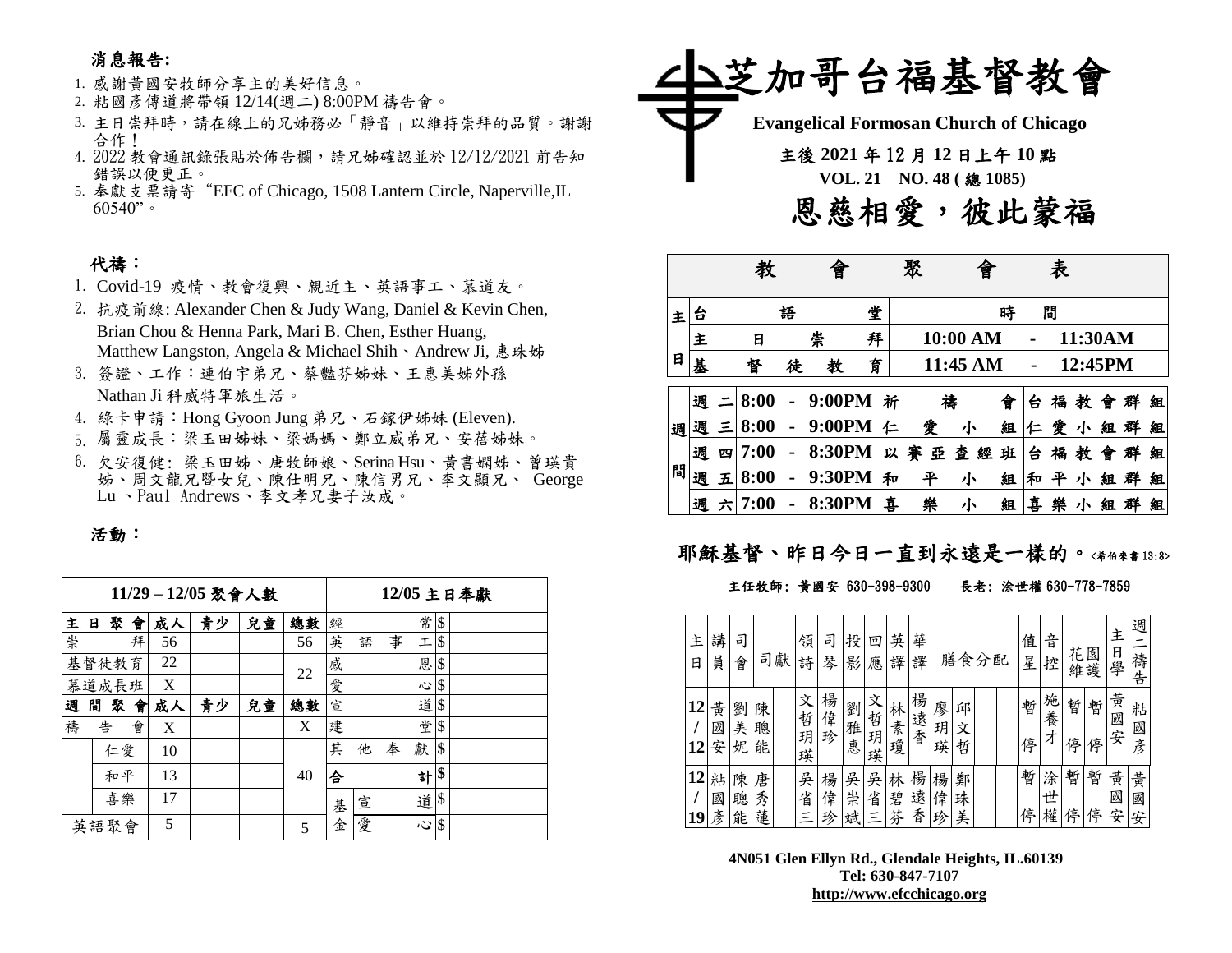# 消息報告**:**

#### 1. 感謝黃國安牧師分享主的美好信息。

- 2. 粘國彥傳道將帶領 12/14(週二) 8:00PM 禱告會。
- 3. 主日崇拜時,請在線上的兄姊務必「靜音」以維持崇拜的品質。謝謝 合作!
- 4. 2022 教會通訊錄張貼於佈告欄,請兄姊確認並於 12/12/2021 前告知 錯誤以便更正。
- 5. 奉獻支票請寄"EFC of Chicago, 1508 Lantern Circle, Naperville,IL  $60540"$

## 代禱:

- 1. Covid-19 疫情、教會復興、親近主、英語事工、慕道友。
- 2. 抗疫前線: Alexander Chen & Judy Wang, Daniel & Kevin Chen, Brian Chou & Henna Park, Mari B. Chen, Esther Huang, Matthew Langston, Angela & Michael Shih、Andrew Ji, 惠珠姊
- 3. 簽證、工作:連伯宇弟兄、蔡豔芬姊妹、王惠美姊外孫 Nathan Ji 科威特軍旅生活。
- 4. 綠卡申請:Hong Gyoon Jung 弟兄、石鎵伊姊妹 (Eleven).
- 5. 屬靈成長:梁玉田姊妹、梁媽媽、鄭立威弟兄、安蓓姊妹。
- 6. 欠安復健: 梁玉田姊、唐牧師娘、Serina Hsu、黃書嫻姊、曾瑛貴 姊、周文龍兄暨女兒、陳仕明兄、陳信男兄、李文顯兄、 George Lu 、Paul Andrews、李文孝兄妻子汝成。

#### 活動:

|   |        |    |    | 11/29-12/05 聚會人數 |    |    |   |   |   |      |                           | 12/05 主日奉獻 |
|---|--------|----|----|------------------|----|----|---|---|---|------|---------------------------|------------|
| 主 | 聚<br>в | 會  | 成人 | 青少               | 兒童 | 總數 | 經 |   |   | 常    | $\boldsymbol{\mathsf{S}}$ |            |
| 崇 |        | 拜  | 56 |                  |    | 56 | 英 | 語 | 事 | 工    | \$                        |            |
|   | 基督徒教育  |    | 22 |                  |    | 22 | 感 |   |   | 恩    | \$                        |            |
|   | 慕道成長班  |    | X  |                  |    |    | 愛 |   |   | 心 \$ |                           |            |
| 週 | 間<br>聚 | 會  | 成人 | 青少               | 兒童 | 總數 | 宣 |   |   | 道\$  |                           |            |
| 禱 | 告      | 會  | X  |                  |    | X  | 建 |   |   | 堂    | S.                        |            |
|   | 仁愛     |    | 10 |                  |    |    | 其 | 他 | 奉 | 獻    | \$                        |            |
|   | 和平     |    | 13 |                  |    | 40 | 合 |   |   | 計    | \$                        |            |
|   |        | 喜樂 | 17 |                  |    |    | 基 | 宣 |   | 道    | \$                        |            |
|   | 英語聚會   |    | 5  |                  |    | 5  | 金 | 愛 |   | Ş    | \$                        |            |



|   |   |   |      |   | 曾      |   |   | 聚      |          |   |   | 表 |         |   |   |   |
|---|---|---|------|---|--------|---|---|--------|----------|---|---|---|---------|---|---|---|
| 主 | 台 |   |      | 語 |        | 堂 |   |        |          | 時 |   | 間 |         |   |   |   |
|   | 主 |   | 日    |   | 崇      | 拜 |   |        | 10:00 AM |   |   |   | 11:30AM |   |   |   |
| 日 | 基 |   | 督    | 徒 | 教      | 育 |   |        | 11:45 AM |   |   |   | 12:45PM |   |   |   |
|   | 週 |   | 8:00 |   | 9:00PM |   | 祈 | 補      |          | 會 | 台 | 福 | 教       | 會 | 群 | 組 |
| 週 | 週 | Ξ | 8:00 |   | 9:00PM |   | 仁 | 愛      | 小        | 組 | 仁 | 愛 | 小       | 組 | 群 | 組 |
|   | 週 | 四 | 7:00 |   | 8:30PM |   | 以 | 賽<br>亞 | 查<br>經   | 班 | 台 | 福 | 教       | 曾 | 群 | 組 |
| 間 | 週 | 五 | 8:00 |   | 9:30PM |   | 和 | 平      | 小        | 組 | 和 | 平 | 小       | 組 | 群 | 組 |
|   | 週 | 六 | 7:00 |   | 8:30PM |   | 喜 | 樂      | 小        | 組 | 喜 | 樂 | 小       | 組 |   | 組 |

# 耶穌基督、昨日今日一直到永遠是一樣的。<希伯來書13:8>

#### 主任牧師: 黃國安 630-398-9300 長老: 涂世權 630-778-7859

| 主<br>日   | 講<br>員      | 司<br>會      | 司           | 獻 | 領<br>詩           | 司<br>琴      | 投<br>影      | 旦<br>應           | 英<br>譯      | 華<br>譯      |             | 膳食分配        |  | 值<br>星 | 音<br>控      |        | 花園<br>維護 | 主<br>日<br>學 | 週<br>禱<br>告 |
|----------|-------------|-------------|-------------|---|------------------|-------------|-------------|------------------|-------------|-------------|-------------|-------------|--|--------|-------------|--------|----------|-------------|-------------|
| 12<br>12 | 黃<br>國<br>安 | 劉<br>美<br>妮 | 陳<br>聰<br>能 |   | 文<br>哲<br>玥<br>瑛 | 楊<br>偉<br>珍 | 劉<br>雅<br>惠 | 文<br>哲<br>玥<br>瑛 | 林<br>:素瓊    | 楊<br>一遠 香   | 廖<br>玥<br>瑛 | 邱<br>文<br>哲 |  | 暫<br>停 | 施<br>養<br>オ | 暫<br>停 | 暫<br>停   | 黄<br>國<br>安 | 粘<br>國<br>彥 |
| 12<br>19 | 粘<br>國<br>彥 | 陳<br>聰<br>能 | 唐<br>秀<br>蓮 |   | 吳<br>省<br>Ξ      | 楊<br>偉<br>珍 | 吳<br>崇<br>斌 | 吳<br>省           | 林<br>碧<br>芬 | 楊<br>遠<br>香 | 楊<br>偉<br>珍 | 鄭<br>珠<br>美 |  | 暫<br>停 | 涂<br>世<br>權 | 暫<br>停 | 暫<br>停   | 黄<br>國<br>安 | 黃<br>國<br>安 |

**4N051 Glen Ellyn Rd., Glendale Heights, IL.60139 Tel: 630-847-7107 [http://www.efcchicago.org](http://www.efcchicago.org/)**